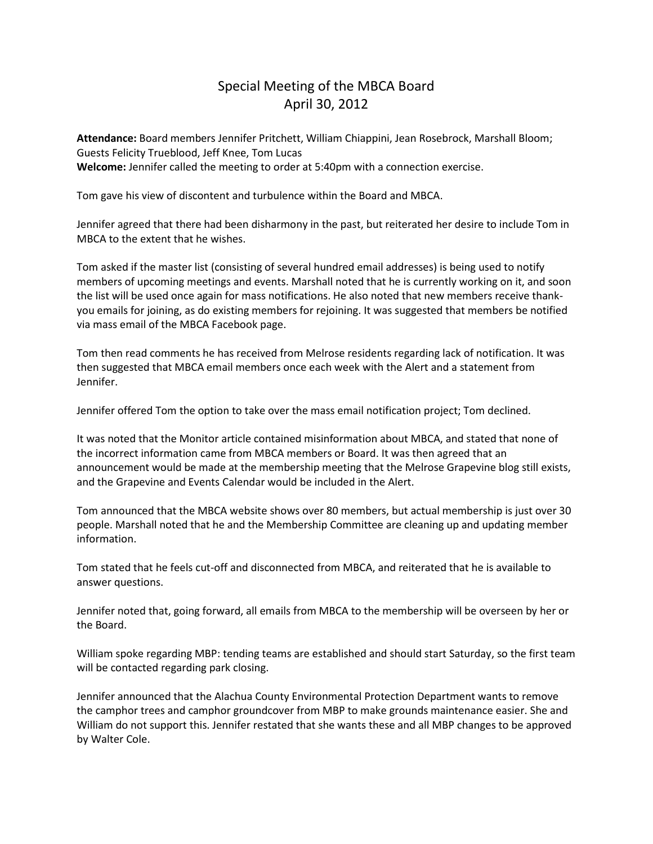## Special Meeting of the MBCA Board April 30, 2012

**Attendance:** Board members Jennifer Pritchett, William Chiappini, Jean Rosebrock, Marshall Bloom; Guests Felicity Trueblood, Jeff Knee, Tom Lucas **Welcome:** Jennifer called the meeting to order at 5:40pm with a connection exercise.

Tom gave his view of discontent and turbulence within the Board and MBCA.

Jennifer agreed that there had been disharmony in the past, but reiterated her desire to include Tom in MBCA to the extent that he wishes.

Tom asked if the master list (consisting of several hundred email addresses) is being used to notify members of upcoming meetings and events. Marshall noted that he is currently working on it, and soon the list will be used once again for mass notifications. He also noted that new members receive thankyou emails for joining, as do existing members for rejoining. It was suggested that members be notified via mass email of the MBCA Facebook page.

Tom then read comments he has received from Melrose residents regarding lack of notification. It was then suggested that MBCA email members once each week with the Alert and a statement from Jennifer.

Jennifer offered Tom the option to take over the mass email notification project; Tom declined.

It was noted that the Monitor article contained misinformation about MBCA, and stated that none of the incorrect information came from MBCA members or Board. It was then agreed that an announcement would be made at the membership meeting that the Melrose Grapevine blog still exists, and the Grapevine and Events Calendar would be included in the Alert.

Tom announced that the MBCA website shows over 80 members, but actual membership is just over 30 people. Marshall noted that he and the Membership Committee are cleaning up and updating member information.

Tom stated that he feels cut-off and disconnected from MBCA, and reiterated that he is available to answer questions.

Jennifer noted that, going forward, all emails from MBCA to the membership will be overseen by her or the Board.

William spoke regarding MBP: tending teams are established and should start Saturday, so the first team will be contacted regarding park closing.

Jennifer announced that the Alachua County Environmental Protection Department wants to remove the camphor trees and camphor groundcover from MBP to make grounds maintenance easier. She and William do not support this. Jennifer restated that she wants these and all MBP changes to be approved by Walter Cole.